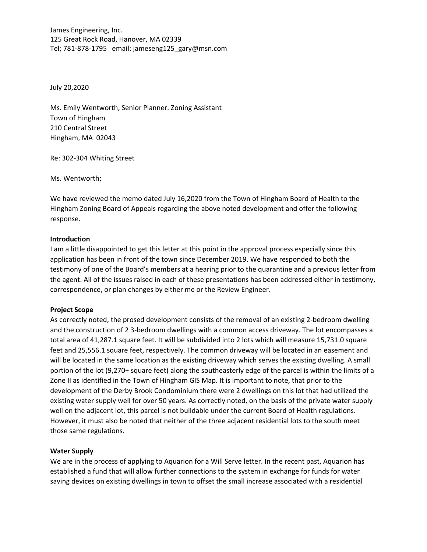James Engineering, Inc. 125 Great Rock Road, Hanover, MA 02339 Tel; 781‐878‐1795 email: jameseng125\_gary@msn.com

July 20,2020

Ms. Emily Wentworth, Senior Planner. Zoning Assistant Town of Hingham 210 Central Street Hingham, MA 02043

Re: 302‐304 Whiting Street

Ms. Wentworth;

We have reviewed the memo dated July 16,2020 from the Town of Hingham Board of Health to the Hingham Zoning Board of Appeals regarding the above noted development and offer the following response.

#### **Introduction**

I am a little disappointed to get this letter at this point in the approval process especially since this application has been in front of the town since December 2019. We have responded to both the testimony of one of the Board's members at a hearing prior to the quarantine and a previous letter from the agent. All of the issues raised in each of these presentations has been addressed either in testimony, correspondence, or plan changes by either me or the Review Engineer.

#### **Project Scope**

As correctly noted, the prosed development consists of the removal of an existing 2‐bedroom dwelling and the construction of 2 3‐bedroom dwellings with a common access driveway. The lot encompasses a total area of 41,287.1 square feet. It will be subdivided into 2 lots which will measure 15,731.0 square feet and 25,556.1 square feet, respectively. The common driveway will be located in an easement and will be located in the same location as the existing driveway which serves the existing dwelling. A small portion of the lot (9,270+ square feet) along the southeasterly edge of the parcel is within the limits of a Zone II as identified in the Town of Hingham GIS Map. It is important to note, that prior to the development of the Derby Brook Condominium there were 2 dwellings on this lot that had utilized the existing water supply well for over 50 years. As correctly noted, on the basis of the private water supply well on the adjacent lot, this parcel is not buildable under the current Board of Health regulations. However, it must also be noted that neither of the three adjacent residential lots to the south meet those same regulations.

#### **Water Supply**

We are in the process of applying to Aquarion for a Will Serve letter. In the recent past, Aquarion has established a fund that will allow further connections to the system in exchange for funds for water saving devices on existing dwellings in town to offset the small increase associated with a residential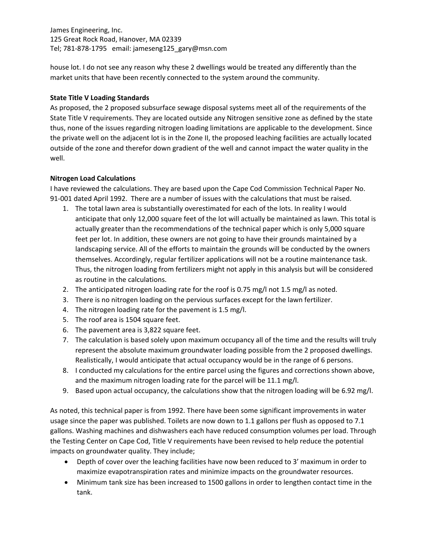James Engineering, Inc. 125 Great Rock Road, Hanover, MA 02339 Tel; 781‐878‐1795 email: jameseng125\_gary@msn.com

house lot. I do not see any reason why these 2 dwellings would be treated any differently than the market units that have been recently connected to the system around the community.

# **State Title V Loading Standards**

As proposed, the 2 proposed subsurface sewage disposal systems meet all of the requirements of the State Title V requirements. They are located outside any Nitrogen sensitive zone as defined by the state thus, none of the issues regarding nitrogen loading limitations are applicable to the development. Since the private well on the adjacent lot is in the Zone II, the proposed leaching facilities are actually located outside of the zone and therefor down gradient of the well and cannot impact the water quality in the well.

## **Nitrogen Load Calculations**

I have reviewed the calculations. They are based upon the Cape Cod Commission Technical Paper No. 91-001 dated April 1992. There are a number of issues with the calculations that must be raised.

- 1. The total lawn area is substantially overestimated for each of the lots. In reality I would anticipate that only 12,000 square feet of the lot will actually be maintained as lawn. This total is actually greater than the recommendations of the technical paper which is only 5,000 square feet per lot. In addition, these owners are not going to have their grounds maintained by a landscaping service. All of the efforts to maintain the grounds will be conducted by the owners themselves. Accordingly, regular fertilizer applications will not be a routine maintenance task. Thus, the nitrogen loading from fertilizers might not apply in this analysis but will be considered as routine in the calculations.
- 2. The anticipated nitrogen loading rate for the roof is 0.75 mg/l not 1.5 mg/l as noted.
- 3. There is no nitrogen loading on the pervious surfaces except for the lawn fertilizer.
- 4. The nitrogen loading rate for the pavement is 1.5 mg/l.
- 5. The roof area is 1504 square feet.
- 6. The pavement area is 3,822 square feet.
- 7. The calculation is based solely upon maximum occupancy all of the time and the results will truly represent the absolute maximum groundwater loading possible from the 2 proposed dwellings. Realistically, I would anticipate that actual occupancy would be in the range of 6 persons.
- 8. I conducted my calculations for the entire parcel using the figures and corrections shown above, and the maximum nitrogen loading rate for the parcel will be 11.1 mg/l.
- 9. Based upon actual occupancy, the calculations show that the nitrogen loading will be 6.92 mg/l.

As noted, this technical paper is from 1992. There have been some significant improvements in water usage since the paper was published. Toilets are now down to 1.1 gallons per flush as opposed to 7.1 gallons. Washing machines and dishwashers each have reduced consumption volumes per load. Through the Testing Center on Cape Cod, Title V requirements have been revised to help reduce the potential impacts on groundwater quality. They include;

- Depth of cover over the leaching facilities have now been reduced to 3' maximum in order to maximize evapotranspiration rates and minimize impacts on the groundwater resources.
- Minimum tank size has been increased to 1500 gallons in order to lengthen contact time in the tank.